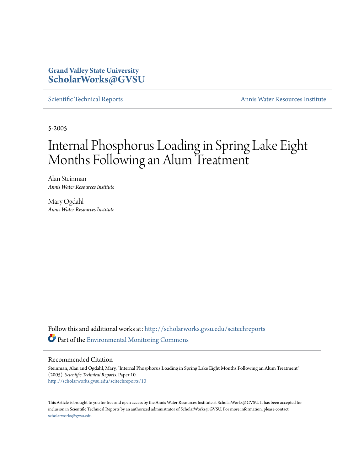## **Grand Valley State University [ScholarWorks@GVSU](http://scholarworks.gvsu.edu?utm_source=scholarworks.gvsu.edu%2Fscitechreports%2F10&utm_medium=PDF&utm_campaign=PDFCoverPages)**

[Scientific Technical Reports](http://scholarworks.gvsu.edu/scitechreports?utm_source=scholarworks.gvsu.edu%2Fscitechreports%2F10&utm_medium=PDF&utm_campaign=PDFCoverPages) [Annis Water Resources Institute](http://scholarworks.gvsu.edu/awri?utm_source=scholarworks.gvsu.edu%2Fscitechreports%2F10&utm_medium=PDF&utm_campaign=PDFCoverPages)

5-2005

# Internal Phosphorus Loading in Spring Lake Eight Months Following an Alum Treatment

Alan Steinman *Annis Water Resources Institute*

Mary Ogdahl *Annis Water Resources Institute*

Follow this and additional works at: [http://scholarworks.gvsu.edu/scitechreports](http://scholarworks.gvsu.edu/scitechreports?utm_source=scholarworks.gvsu.edu%2Fscitechreports%2F10&utm_medium=PDF&utm_campaign=PDFCoverPages) Part of the [Environmental Monitoring Commons](http://network.bepress.com/hgg/discipline/931?utm_source=scholarworks.gvsu.edu%2Fscitechreports%2F10&utm_medium=PDF&utm_campaign=PDFCoverPages)

Recommended Citation

Steinman, Alan and Ogdahl, Mary, "Internal Phosphorus Loading in Spring Lake Eight Months Following an Alum Treatment" (2005). *Scientific Technical Reports.* Paper 10. [http://scholarworks.gvsu.edu/scitechreports/10](http://scholarworks.gvsu.edu/scitechreports/10?utm_source=scholarworks.gvsu.edu%2Fscitechreports%2F10&utm_medium=PDF&utm_campaign=PDFCoverPages)

This Article is brought to you for free and open access by the Annis Water Resources Institute at ScholarWorks@GVSU. It has been accepted for inclusion in Scientific Technical Reports by an authorized administrator of ScholarWorks@GVSU. For more information, please contact [scholarworks@gvsu.edu](mailto:scholarworks@gvsu.edu).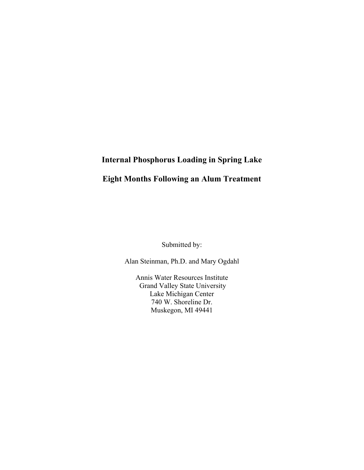## **Internal Phosphorus Loading in Spring Lake**

## **Eight Months Following an Alum Treatment**

Submitted by:

Alan Steinman, Ph.D. and Mary Ogdahl

Annis Water Resources Institute Grand Valley State University Lake Michigan Center 740 W. Shoreline Dr. Muskegon, MI 49441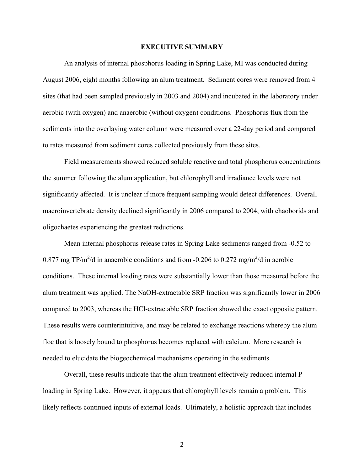#### **EXECUTIVE SUMMARY**

An analysis of internal phosphorus loading in Spring Lake, MI was conducted during August 2006, eight months following an alum treatment. Sediment cores were removed from 4 sites (that had been sampled previously in 2003 and 2004) and incubated in the laboratory under aerobic (with oxygen) and anaerobic (without oxygen) conditions. Phosphorus flux from the sediments into the overlaying water column were measured over a 22-day period and compared to rates measured from sediment cores collected previously from these sites.

 Field measurements showed reduced soluble reactive and total phosphorus concentrations the summer following the alum application, but chlorophyll and irradiance levels were not significantly affected. It is unclear if more frequent sampling would detect differences. Overall macroinvertebrate density declined significantly in 2006 compared to 2004, with chaoborids and oligochaetes experiencing the greatest reductions.

 Mean internal phosphorus release rates in Spring Lake sediments ranged from -0.52 to 0.877 mg TP/m<sup>2</sup>/d in anaerobic conditions and from -0.206 to 0.272 mg/m<sup>2</sup>/d in aerobic conditions. These internal loading rates were substantially lower than those measured before the alum treatment was applied. The NaOH-extractable SRP fraction was significantly lower in 2006 compared to 2003, whereas the HCl-extractable SRP fraction showed the exact opposite pattern. These results were counterintuitive, and may be related to exchange reactions whereby the alum floc that is loosely bound to phosphorus becomes replaced with calcium. More research is needed to elucidate the biogeochemical mechanisms operating in the sediments.

 Overall, these results indicate that the alum treatment effectively reduced internal P loading in Spring Lake. However, it appears that chlorophyll levels remain a problem. This likely reflects continued inputs of external loads. Ultimately, a holistic approach that includes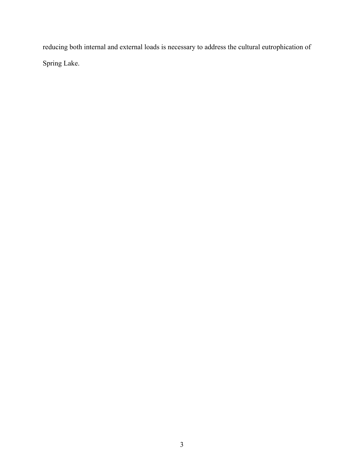reducing both internal and external loads is necessary to address the cultural eutrophication of Spring Lake.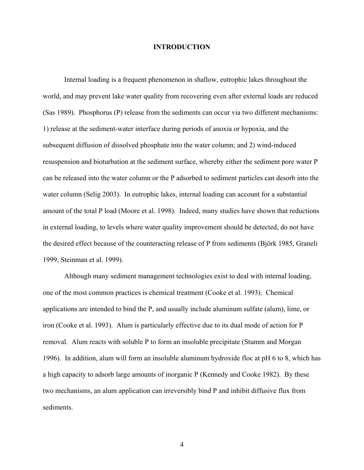#### **INTRODUCTION**

Internal loading is a frequent phenomenon in shallow, eutrophic lakes throughout the world, and may prevent lake water quality from recovering even after external loads are reduced (Sas 1989). Phosphorus (P) release from the sediments can occur via two different mechanisms: 1) release at the sediment-water interface during periods of anoxia or hypoxia, and the subsequent diffusion of dissolved phosphate into the water column; and 2) wind-induced resuspension and bioturbation at the sediment surface, whereby either the sediment pore water P can be released into the water column or the P adsorbed to sediment particles can desorb into the water column (Selig 2003). In eutrophic lakes, internal loading can account for a substantial amount of the total P load (Moore et al. 1998). Indeed, many studies have shown that reductions in external loading, to levels where water quality improvement should be detected, do not have the desired effect because of the counteracting release of P from sediments (Björk 1985, Graneli 1999, Steinman et al. 1999).

Although many sediment management technologies exist to deal with internal loading, one of the most common practices is chemical treatment (Cooke et al. 1993). Chemical applications are intended to bind the P, and usually include aluminum sulfate (alum), lime, or iron (Cooke et al. 1993). Alum is particularly effective due to its dual mode of action for P removal. Alum reacts with soluble P to form an insoluble precipitate (Stumm and Morgan 1996). In addition, alum will form an insoluble aluminum hydroxide floc at pH 6 to 8, which has a high capacity to adsorb large amounts of inorganic P (Kennedy and Cooke 1982). By these two mechanisms, an alum application can irreversibly bind P and inhibit diffusive flux from sediments.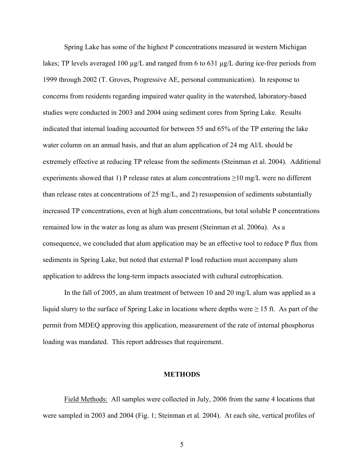Spring Lake has some of the highest P concentrations measured in western Michigan lakes; TP levels averaged 100 µg/L and ranged from 6 to 631 µg/L during ice-free periods from 1999 through 2002 (T. Groves, Progressive AE, personal communication). In response to concerns from residents regarding impaired water quality in the watershed, laboratory-based studies were conducted in 2003 and 2004 using sediment cores from Spring Lake. Results indicated that internal loading accounted for between 55 and 65% of the TP entering the lake water column on an annual basis, and that an alum application of 24 mg Al/L should be extremely effective at reducing TP release from the sediments (Steinman et al. 2004). Additional experiments showed that 1) P release rates at alum concentrations  $\geq$ 10 mg/L were no different than release rates at concentrations of 25 mg/L, and 2) resuspension of sediments substantially increased TP concentrations, even at high alum concentrations, but total soluble P concentrations remained low in the water as long as alum was present (Steinman et al. 2006a). As a consequence, we concluded that alum application may be an effective tool to reduce P flux from sediments in Spring Lake, but noted that external P load reduction must accompany alum application to address the long-term impacts associated with cultural eutrophication.

 In the fall of 2005, an alum treatment of between 10 and 20 mg/L alum was applied as a liquid slurry to the surface of Spring Lake in locations where depths were  $\geq 15$  ft. As part of the permit from MDEQ approving this application, measurement of the rate of internal phosphorus loading was mandated. This report addresses that requirement.

#### **METHODS**

Field Methods: All samples were collected in July, 2006 from the same 4 locations that were sampled in 2003 and 2004 (Fig. 1; Steinman et al. 2004). At each site, vertical profiles of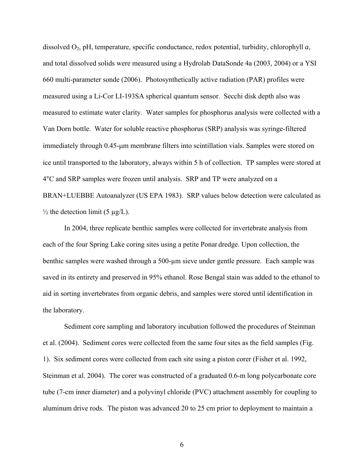dissolved O2, pH, temperature, specific conductance, redox potential, turbidity, chlorophyll *a*, and total dissolved solids were measured using a Hydrolab DataSonde 4a (2003, 2004) or a YSI 660 multi-parameter sonde (2006). Photosynthetically active radiation (PAR) profiles were measured using a Li-Cor LI-193SA spherical quantum sensor. Secchi disk depth also was measured to estimate water clarity. Water samples for phosphorus analysis were collected with a Van Dorn bottle. Water for soluble reactive phosphorus (SRP) analysis was syringe-filtered immediately through 0.45-μm membrane filters into scintillation vials. Samples were stored on ice until transported to the laboratory, always within 5 h of collection. TP samples were stored at 4°C and SRP samples were frozen until analysis. SRP and TP were analyzed on a BRAN+LUEBBE Autoanalyzer (US EPA 1983). SRP values below detection were calculated as  $\frac{1}{2}$  the detection limit (5 µg/L).

 In 2004, three replicate benthic samples were collected for invertebrate analysis from each of the four Spring Lake coring sites using a petite Ponar dredge. Upon collection, the benthic samples were washed through a 500-µm sieve under gentle pressure. Each sample was saved in its entirety and preserved in 95% ethanol. Rose Bengal stain was added to the ethanol to aid in sorting invertebrates from organic debris, and samples were stored until identification in the laboratory.

 Sediment core sampling and laboratory incubation followed the procedures of Steinman et al. (2004). Sediment cores were collected from the same four sites as the field samples (Fig. 1). Six sediment cores were collected from each site using a piston corer (Fisher et al. 1992, Steinman et al. 2004). The corer was constructed of a graduated 0.6-m long polycarbonate core tube (7-cm inner diameter) and a polyvinyl chloride (PVC) attachment assembly for coupling to aluminum drive rods. The piston was advanced 20 to 25 cm prior to deployment to maintain a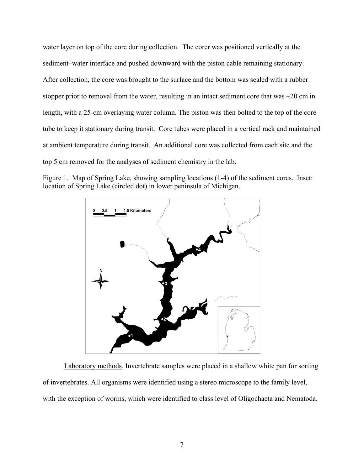water layer on top of the core during collection. The corer was positioned vertically at the sediment–water interface and pushed downward with the piston cable remaining stationary. After collection, the core was brought to the surface and the bottom was sealed with a rubber stopper prior to removal from the water, resulting in an intact sediment core that was  $\sim$ 20 cm in length, with a 25-cm overlaying water column. The piston was then bolted to the top of the core tube to keep it stationary during transit. Core tubes were placed in a vertical rack and maintained at ambient temperature during transit. An additional core was collected from each site and the top 5 cm removed for the analyses of sediment chemistry in the lab.





Laboratory methods. Invertebrate samples were placed in a shallow white pan for sorting of invertebrates. All organisms were identified using a stereo microscope to the family level, with the exception of worms, which were identified to class level of Oligochaeta and Nematoda.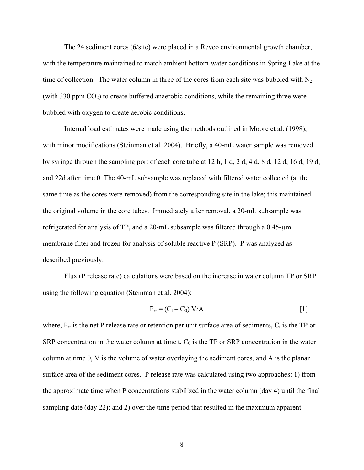The 24 sediment cores (6/site) were placed in a Revco environmental growth chamber, with the temperature maintained to match ambient bottom-water conditions in Spring Lake at the time of collection. The water column in three of the cores from each site was bubbled with  $N_2$ (with 330 ppm  $CO<sub>2</sub>$ ) to create buffered anaerobic conditions, while the remaining three were bubbled with oxygen to create aerobic conditions.

 Internal load estimates were made using the methods outlined in Moore et al. (1998), with minor modifications (Steinman et al. 2004). Briefly, a 40-mL water sample was removed by syringe through the sampling port of each core tube at 12 h, 1 d, 2 d, 4 d, 8 d, 12 d, 16 d, 19 d, and 22d after time 0. The 40-mL subsample was replaced with filtered water collected (at the same time as the cores were removed) from the corresponding site in the lake; this maintained the original volume in the core tubes. Immediately after removal, a 20-mL subsample was refrigerated for analysis of TP, and a 20-mL subsample was filtered through a  $0.45$ - $\mu$ m membrane filter and frozen for analysis of soluble reactive P (SRP). P was analyzed as described previously.

 Flux (P release rate) calculations were based on the increase in water column TP or SRP using the following equation (Steinman et al. 2004):

$$
P_{rr} = (C_t - C_0) V/A
$$
 [1]

where,  $P_{rr}$  is the net P release rate or retention per unit surface area of sediments,  $C_t$  is the TP or SRP concentration in the water column at time t,  $C_0$  is the TP or SRP concentration in the water column at time 0, V is the volume of water overlaying the sediment cores, and A is the planar surface area of the sediment cores. P release rate was calculated using two approaches: 1) from the approximate time when P concentrations stabilized in the water column (day 4) until the final sampling date (day 22); and 2) over the time period that resulted in the maximum apparent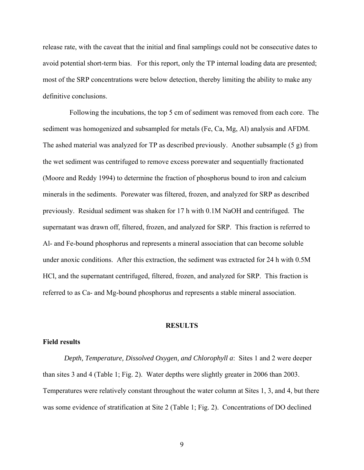release rate, with the caveat that the initial and final samplings could not be consecutive dates to avoid potential short-term bias. For this report, only the TP internal loading data are presented; most of the SRP concentrations were below detection, thereby limiting the ability to make any definitive conclusions.

 Following the incubations, the top 5 cm of sediment was removed from each core. The sediment was homogenized and subsampled for metals (Fe, Ca, Mg, Al) analysis and AFDM. The ashed material was analyzed for TP as described previously. Another subsample (5 g) from the wet sediment was centrifuged to remove excess porewater and sequentially fractionated (Moore and Reddy 1994) to determine the fraction of phosphorus bound to iron and calcium minerals in the sediments. Porewater was filtered, frozen, and analyzed for SRP as described previously. Residual sediment was shaken for 17 h with 0.1M NaOH and centrifuged. The supernatant was drawn off, filtered, frozen, and analyzed for SRP. This fraction is referred to Al- and Fe-bound phosphorus and represents a mineral association that can become soluble under anoxic conditions. After this extraction, the sediment was extracted for 24 h with 0.5M HCl, and the supernatant centrifuged, filtered, frozen, and analyzed for SRP. This fraction is referred to as Ca- and Mg-bound phosphorus and represents a stable mineral association.

#### **RESULTS**

#### **Field results**

*Depth, Temperature, Dissolved Oxygen, and Chlorophyll a*: Sites 1 and 2 were deeper than sites 3 and 4 (Table 1; Fig. 2). Water depths were slightly greater in 2006 than 2003. Temperatures were relatively constant throughout the water column at Sites 1, 3, and 4, but there was some evidence of stratification at Site 2 (Table 1; Fig. 2). Concentrations of DO declined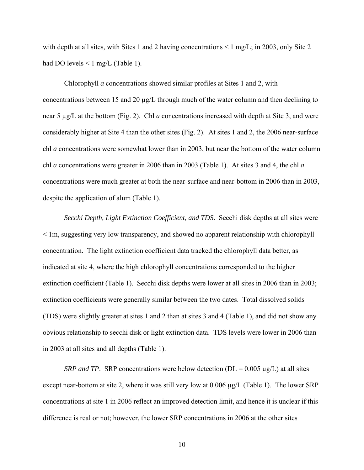with depth at all sites, with Sites 1 and 2 having concentrations  $\leq 1$  mg/L; in 2003, only Site 2 had DO levels  $\leq 1$  mg/L (Table 1).

Chlorophyll *a* concentrations showed similar profiles at Sites 1 and 2, with concentrations between 15 and 20 µg/L through much of the water column and then declining to near 5 µg/L at the bottom (Fig. 2). Chl *a* concentrations increased with depth at Site 3, and were considerably higher at Site 4 than the other sites (Fig. 2). At sites 1 and 2, the 2006 near-surface chl *a* concentrations were somewhat lower than in 2003, but near the bottom of the water column chl *a* concentrations were greater in 2006 than in 2003 (Table 1). At sites 3 and 4, the chl *a* concentrations were much greater at both the near-surface and near-bottom in 2006 than in 2003, despite the application of alum (Table 1).

*Secchi Depth, Light Extinction Coefficient, and TDS*. Secchi disk depths at all sites were < 1m, suggesting very low transparency, and showed no apparent relationship with chlorophyll concentration. The light extinction coefficient data tracked the chlorophyll data better, as indicated at site 4, where the high chlorophyll concentrations corresponded to the higher extinction coefficient (Table 1). Secchi disk depths were lower at all sites in 2006 than in 2003; extinction coefficients were generally similar between the two dates. Total dissolved solids (TDS) were slightly greater at sites 1 and 2 than at sites 3 and 4 (Table 1), and did not show any obvious relationship to secchi disk or light extinction data. TDS levels were lower in 2006 than in 2003 at all sites and all depths (Table 1).

*SRP and TP.* SRP concentrations were below detection ( $DL = 0.005 \mu g/L$ ) at all sites except near-bottom at site 2, where it was still very low at  $0.006 \mu g/L$  (Table 1). The lower SRP concentrations at site 1 in 2006 reflect an improved detection limit, and hence it is unclear if this difference is real or not; however, the lower SRP concentrations in 2006 at the other sites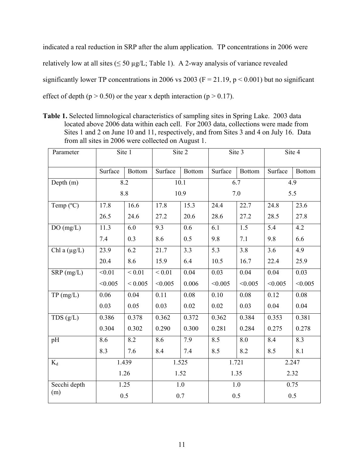indicated a real reduction in SRP after the alum application. TP concentrations in 2006 were relatively low at all sites ( $\leq$  50 µg/L; Table 1). A 2-way analysis of variance revealed significantly lower TP concentrations in 2006 vs 2003 ( $F = 21.19$ ,  $p \le 0.001$ ) but no significant effect of depth ( $p > 0.50$ ) or the year x depth interaction ( $p > 0.17$ ).

**Table 1.** Selected limnological characteristics of sampling sites in Spring Lake. 2003 data located above 2006 data within each cell. For 2003 data, collections were made from Sites 1 and 2 on June 10 and 11, respectively, and from Sites 3 and 4 on July 16. Data from all sites in 2006 were collected on August 1.

| Parameter         |               | Site 1        |             | Site 2        | Site 3  |                   | Site 4  |               |
|-------------------|---------------|---------------|-------------|---------------|---------|-------------------|---------|---------------|
|                   | Surface       | <b>Bottom</b> | Surface     | <b>Bottom</b> | Surface | Bottom            | Surface | <b>Bottom</b> |
| Depth $(m)$       | 8.2           |               | 10.1        |               | 6.7     |                   | 4.9     |               |
|                   |               | 8.8           |             | 10.9          | 7.0     |                   | 5.5     |               |
| Temp (°C)         | 17.8          | 16.6          | 17.8        | 15.3          | 24.4    | $\overline{2}2.7$ | 24.8    | 23.6          |
|                   | 26.5          | 24.6          | 27.2        | 20.6          | 28.6    | 27.2              | 28.5    | 27.8          |
| DO(mg/L)          | 11.3          | 6.0           | 9.3         | 0.6           | 6.1     | 1.5               | 5.4     | 4.2           |
|                   | 7.4           | 0.3           | 8.6         | 0.5           | 9.8     | 7.1               | 9.8     | 6.6           |
| Chl a $(\mu g/L)$ | 23.9          | 6.2           | 21.7        | 3.3           | 5.3     | 3.8               | 3.6     | 4.9           |
|                   | 20.4          | 8.6           | 15.9        | 6.4           | 10.5    | 16.7              | 22.4    | 25.9          |
| $SRP$ (mg/L)      | < 0.01        | ${}_{0.01}$   | ${}_{0.01}$ | 0.04          | 0.03    | 0.04              | 0.04    | 0.03          |
|                   | < 0.005       | ${}< 0.005$   | < 0.005     | 0.006         | < 0.005 | < 0.005           | < 0.005 | < 0.005       |
| TP(mg/L)          | 0.06          | 0.04          | 0.11        | 0.08          | 0.10    | 0.08              | 0.12    | 0.08          |
|                   | 0.03          | 0.05          | 0.03        | 0.02          | 0.02    | 0.03              | 0.04    | 0.04          |
| TDS(g/L)          | 0.386         | 0.378         | 0.362       | 0.372         | 0.362   | 0.384             | 0.353   | 0.381         |
|                   | 0.304         | 0.302         | 0.290       | 0.300         | 0.281   | 0.284             | 0.275   | 0.278         |
| pH                | 8.6           | 8.2           | 8.6         | 7.9           | 8.5     | 8.0               | 8.4     | 8.3           |
|                   | 8.3           | 7.6           | 8.4         | 7.4           | 8.5     | 8.2               | 8.5     | 8.1           |
| $K_d$             | 1.439<br>1.26 |               | 1.525       |               | 1.721   |                   | 2.247   |               |
|                   |               |               | 1.52        |               | 1.35    |                   | 2.32    |               |
| Secchi depth      | 1.25          |               | $1.0\,$     |               | 1.0     |                   | 0.75    |               |
| (m)               | 0.5           |               | 0.7         |               | 0.5     |                   | 0.5     |               |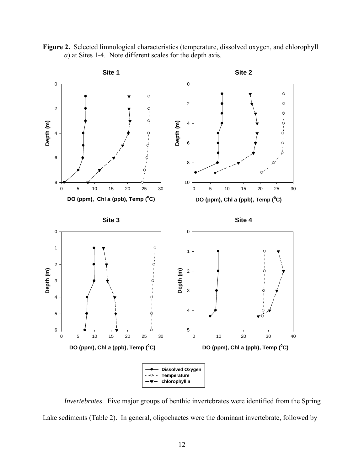**Figure 2.** Selected limnological characteristics (temperature, dissolved oxygen, and chlorophyll *a*) at Sites 1-4. Note different scales for the depth axis.



*Invertebrates*. Five major groups of benthic invertebrates were identified from the Spring Lake sediments (Table 2). In general, oligochaetes were the dominant invertebrate, followed by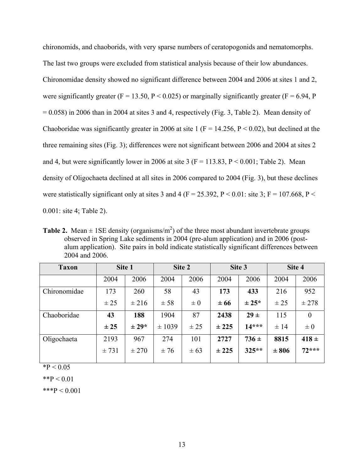chironomids, and chaoborids, with very sparse numbers of ceratopogonids and nematomorphs. The last two groups were excluded from statistical analysis because of their low abundances. Chironomidae density showed no significant difference between 2004 and 2006 at sites 1 and 2, were significantly greater (F = 13.50, P < 0.025) or marginally significantly greater (F = 6.94, P  $= 0.058$ ) in 2006 than in 2004 at sites 3 and 4, respectively (Fig. 3, Table 2). Mean density of Chaoboridae was significantly greater in 2006 at site 1 ( $F = 14.256$ ,  $P < 0.02$ ), but declined at the three remaining sites (Fig. 3); differences were not significant between 2006 and 2004 at sites 2 and 4, but were significantly lower in 2006 at site 3 ( $F = 113.83$ ,  $P \le 0.001$ ; Table 2). Mean density of Oligochaeta declined at all sites in 2006 compared to 2004 (Fig. 3), but these declines were statistically significant only at sites 3 and 4 (F = 25.392, P < 0.01: site 3; F = 107.668, P < 0.001: site 4; Table 2).

**Table 2.** Mean  $\pm$  1SE density (organisms/m<sup>2</sup>) of the three most abundant invertebrate groups observed in Spring Lake sediments in 2004 (pre-alum application) and in 2006 (postalum application). Site pairs in bold indicate statistically significant differences between 2004 and 2006.

| <b>Taxon</b> |       | Site 1    |        | Site 2   |          | Site 3     |          | Site 4    |
|--------------|-------|-----------|--------|----------|----------|------------|----------|-----------|
|              | 2004  | 2006      | 2004   | 2006     | 2004     | 2006       | 2004     | 2006      |
| Chironomidae | 173   | 260       | 58     | 43       | 173      | 433        | 216      | 952       |
|              | ± 25  | $\pm 216$ | ± 58   | $\pm 0$  | $\pm 66$ | $\pm 25^*$ | ± 25     | ± 278     |
| Chaoboridae  | 43    | 188       | 1904   | 87       | 2438     | $29 \pm$   | 115      | $\theta$  |
|              | ± 25  | $\pm 29*$ | ± 1039 | ± 25     | ± 225    | $14***$    | $\pm$ 14 | $\pm 0$   |
| Oligochaeta  | 2193  | 967       | 274    | 101      | 2727     | $736 \pm$  | 8815     | $418 \pm$ |
|              | ± 731 | ± 270     | ±76    | $\pm 63$ | ± 225    | $325**$    | ± 806    | $72***$   |

 $*P < 0.05$ 

\*\*P  $< 0.01$ 

\*\*\*P  $< 0.001$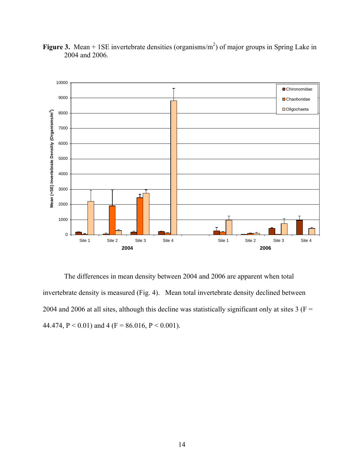

**Figure 3.** Mean  $+$  1SE invertebrate densities (organisms/m<sup>2</sup>) of major groups in Spring Lake in 2004 and 2006.

The differences in mean density between 2004 and 2006 are apparent when total invertebrate density is measured (Fig. 4). Mean total invertebrate density declined between 2004 and 2006 at all sites, although this decline was statistically significant only at sites  $3(F =$ 44.474, P < 0.01) and 4 (F = 86.016, P < 0.001).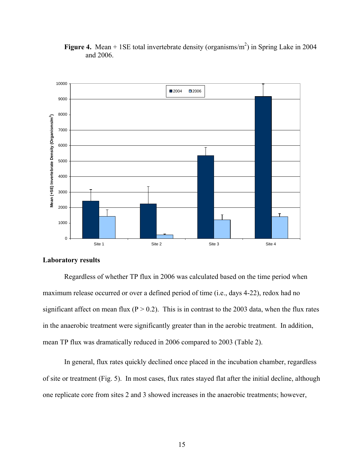

**Figure 4.** Mean  $+$  1SE total invertebrate density (organisms/ $m<sup>2</sup>$ ) in Spring Lake in 2004 and 2006.

#### **Laboratory results**

 Regardless of whether TP flux in 2006 was calculated based on the time period when maximum release occurred or over a defined period of time (i.e., days 4-22), redox had no significant affect on mean flux ( $P > 0.2$ ). This is in contrast to the 2003 data, when the flux rates in the anaerobic treatment were significantly greater than in the aerobic treatment. In addition, mean TP flux was dramatically reduced in 2006 compared to 2003 (Table 2).

 In general, flux rates quickly declined once placed in the incubation chamber, regardless of site or treatment (Fig. 5). In most cases, flux rates stayed flat after the initial decline, although one replicate core from sites 2 and 3 showed increases in the anaerobic treatments; however,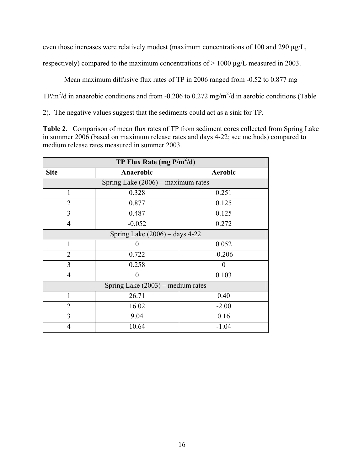even those increases were relatively modest (maximum concentrations of 100 and 290 µg/L,

respectively) compared to the maximum concentrations of > 1000 µg/L measured in 2003.

Mean maximum diffusive flux rates of TP in 2006 ranged from -0.52 to 0.877 mg

TP/m<sup>2</sup>/d in anaerobic conditions and from -0.206 to 0.272 mg/m<sup>2</sup>/d in aerobic conditions (Table

2). The negative values suggest that the sediments could act as a sink for TP.

**Table 2.** Comparison of mean flux rates of TP from sediment cores collected from Spring Lake in summer 2006 (based on maximum release rates and days 4-22; see methods) compared to medium release rates measured in summer 2003.

| TP Flux Rate (mg $P/m^2/d$ )         |           |                |  |  |  |  |
|--------------------------------------|-----------|----------------|--|--|--|--|
| <b>Site</b>                          | Anaerobic | <b>Aerobic</b> |  |  |  |  |
| Spring Lake $(2006)$ – maximum rates |           |                |  |  |  |  |
| 1                                    | 0.328     | 0.251          |  |  |  |  |
| $\overline{2}$                       | 0.877     | 0.125          |  |  |  |  |
| 3                                    | 0.487     | 0.125          |  |  |  |  |
| $\overline{4}$                       | $-0.052$  | 0.272          |  |  |  |  |
| Spring Lake $(2006)$ – days 4-22     |           |                |  |  |  |  |
| 1                                    | 0         | 0.052          |  |  |  |  |
| $\overline{2}$                       | 0.722     | $-0.206$       |  |  |  |  |
| 3                                    | 0.258     | 0              |  |  |  |  |
| $\overline{4}$                       | 0         | 0.103          |  |  |  |  |
| Spring Lake $(2003)$ – medium rates  |           |                |  |  |  |  |
| 1                                    | 26.71     | 0.40           |  |  |  |  |
| $\overline{2}$                       | 16.02     | $-2.00$        |  |  |  |  |
| 3                                    | 9.04      | 0.16           |  |  |  |  |
| $\overline{4}$                       | 10.64     | $-1.04$        |  |  |  |  |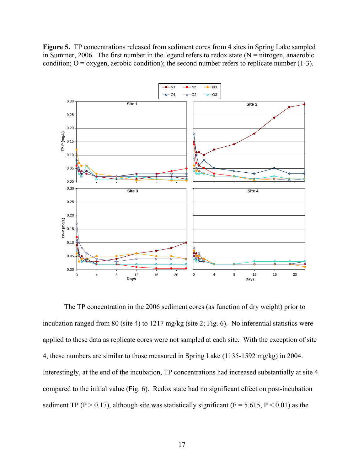Figure 5. TP concentrations released from sediment cores from 4 sites in Spring Lake sampled in Summer, 2006. The first number in the legend refers to redox state  $(N = nitrogen, anaerobic)$ condition;  $O =$  oxygen, aerobic condition); the second number refers to replicate number (1-3).



 The TP concentration in the 2006 sediment cores (as function of dry weight) prior to incubation ranged from 80 (site 4) to 1217 mg/kg (site 2; Fig. 6). No inferential statistics were applied to these data as replicate cores were not sampled at each site. With the exception of site 4, these numbers are similar to those measured in Spring Lake (1135-1592 mg/kg) in 2004. Interestingly, at the end of the incubation, TP concentrations had increased substantially at site 4 compared to the initial value (Fig. 6). Redox state had no significant effect on post-incubation sediment TP (P > 0.17), although site was statistically significant (F = 5.615, P < 0.01) as the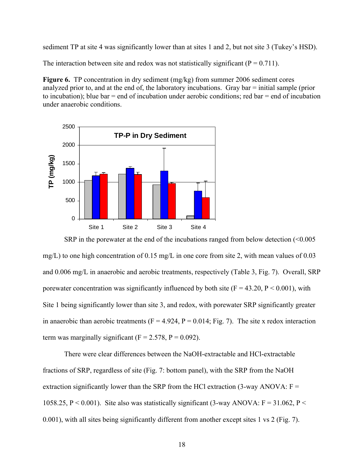sediment TP at site 4 was significantly lower than at sites 1 and 2, but not site 3 (Tukey's HSD).

The interaction between site and redox was not statistically significant  $(P = 0.711)$ .

**Figure 6.** TP concentration in dry sediment (mg/kg) from summer 2006 sediment cores analyzed prior to, and at the end of, the laboratory incubations. Gray bar = initial sample (prior to incubation); blue bar  $=$  end of incubation under aerobic conditions; red bar  $=$  end of incubation under anaerobic conditions.



SRP in the porewater at the end of the incubations ranged from below detection  $\leq 0.005$ mg/L) to one high concentration of 0.15 mg/L in one core from site 2, with mean values of 0.03 and 0.006 mg/L in anaerobic and aerobic treatments, respectively (Table 3, Fig. 7). Overall, SRP porewater concentration was significantly influenced by both site  $(F = 43.20, P \le 0.001)$ , with Site 1 being significantly lower than site 3, and redox, with porewater SRP significantly greater in anaerobic than aerobic treatments ( $F = 4.924$ ,  $P = 0.014$ ; Fig. 7). The site x redox interaction term was marginally significant ( $F = 2.578$ ,  $P = 0.092$ ).

 There were clear differences between the NaOH-extractable and HCl-extractable fractions of SRP, regardless of site (Fig. 7: bottom panel), with the SRP from the NaOH extraction significantly lower than the SRP from the HCl extraction  $(3$ -way ANOVA:  $F =$ 1058.25, P < 0.001). Site also was statistically significant (3-way ANOVA:  $F = 31.062$ , P < 0.001), with all sites being significantly different from another except sites 1 vs 2 (Fig. 7).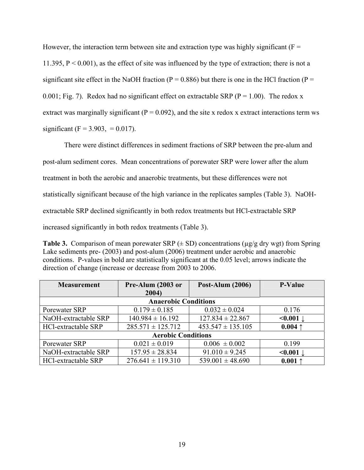However, the interaction term between site and extraction type was highly significant ( $F =$ 11.395,  $P \le 0.001$ ), as the effect of site was influenced by the type of extraction; there is not a significant site effect in the NaOH fraction ( $P = 0.886$ ) but there is one in the HCl fraction ( $P =$ 0.001; Fig. 7). Redox had no significant effect on extractable SRP ( $P = 1.00$ ). The redox x extract was marginally significant ( $P = 0.092$ ), and the site x redox x extract interactions term ws significant (F = 3.903, = 0.017).

 There were distinct differences in sediment fractions of SRP between the pre-alum and post-alum sediment cores. Mean concentrations of porewater SRP were lower after the alum treatment in both the aerobic and anaerobic treatments, but these differences were not statistically significant because of the high variance in the replicates samples (Table 3). NaOHextractable SRP declined significantly in both redox treatments but HCl-extractable SRP increased significantly in both redox treatments (Table 3).

**Table 3.** Comparison of mean porewater SRP  $(\pm SD)$  concentrations ( $\mu$ g/g dry wgt) from Spring Lake sediments pre- (2003) and post-alum (2006) treatment under aerobic and anaerobic conditions. P-values in bold are statistically significant at the 0.05 level; arrows indicate the direction of change (increase or decrease from 2003 to 2006.

| <b>Measurement</b>          | Pre-Alum (2003 or     | <b>Post-Alum (2006)</b> | <b>P-Value</b> |  |  |  |
|-----------------------------|-----------------------|-------------------------|----------------|--|--|--|
|                             | 2004)                 |                         |                |  |  |  |
| <b>Anaerobic Conditions</b> |                       |                         |                |  |  |  |
| Porewater SRP               | $0.179 \pm 0.185$     | $0.032 \pm 0.024$       | 0.176          |  |  |  |
| NaOH-extractable SRP        | $140.984 \pm 16.192$  | $127.834 \pm 22.867$    | $\leq 0.001$   |  |  |  |
| HCl-extractable SRP         | $285.571 \pm 125.712$ | $453.547 \pm 135.105$   | $0.004$ ↑      |  |  |  |
| <b>Aerobic Conditions</b>   |                       |                         |                |  |  |  |
| Porewater SRP               | $0.021 \pm 0.019$     | $0.006 \pm 0.002$       | 0.199          |  |  |  |
| NaOH-extractable SRP        | $157.95 \pm 28.834$   | $91.010 \pm 9.245$      | < 0.001        |  |  |  |
| HCl-extractable SRP         | $276.641 \pm 119.310$ | $539.001 \pm 48.690$    | $0.001$ ↑      |  |  |  |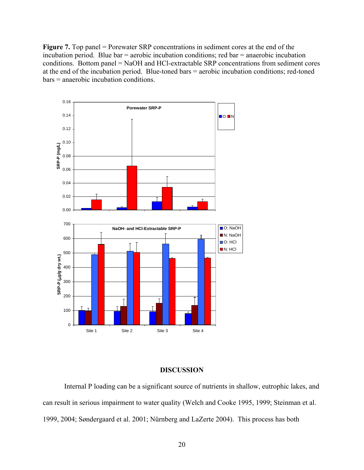**Figure 7.** Top panel = Porewater SRP concentrations in sediment cores at the end of the incubation period. Blue bar = aerobic incubation conditions; red bar = anaerobic incubation conditions. Bottom panel = NaOH and HCl-extractable SRP concentrations from sediment cores at the end of the incubation period. Blue-toned bars = aerobic incubation conditions; red-toned bars = anaerobic incubation conditions.



#### **DISCUSSION**

 Internal P loading can be a significant source of nutrients in shallow, eutrophic lakes, and can result in serious impairment to water quality (Welch and Cooke 1995, 1999; Steinman et al. 1999, 2004; Søndergaard et al. 2001; Nürnberg and LaZerte 2004). This process has both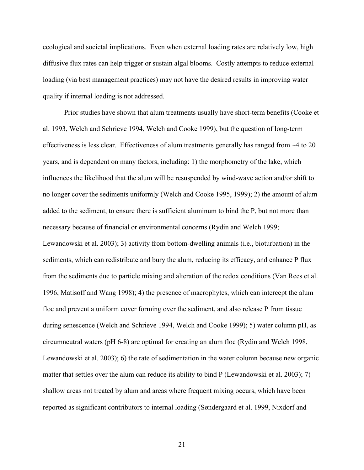ecological and societal implications. Even when external loading rates are relatively low, high diffusive flux rates can help trigger or sustain algal blooms. Costly attempts to reduce external loading (via best management practices) may not have the desired results in improving water quality if internal loading is not addressed.

 Prior studies have shown that alum treatments usually have short-term benefits (Cooke et al. 1993, Welch and Schrieve 1994, Welch and Cooke 1999), but the question of long-term effectiveness is less clear. Effectiveness of alum treatments generally has ranged from ~4 to 20 years, and is dependent on many factors, including: 1) the morphometry of the lake, which influences the likelihood that the alum will be resuspended by wind-wave action and/or shift to no longer cover the sediments uniformly (Welch and Cooke 1995, 1999); 2) the amount of alum added to the sediment, to ensure there is sufficient aluminum to bind the P, but not more than necessary because of financial or environmental concerns (Rydin and Welch 1999; Lewandowski et al. 2003); 3) activity from bottom-dwelling animals (i.e., bioturbation) in the sediments, which can redistribute and bury the alum, reducing its efficacy, and enhance P flux from the sediments due to particle mixing and alteration of the redox conditions (Van Rees et al. 1996, Matisoff and Wang 1998); 4) the presence of macrophytes, which can intercept the alum floc and prevent a uniform cover forming over the sediment, and also release P from tissue during senescence (Welch and Schrieve 1994, Welch and Cooke 1999); 5) water column pH, as circumneutral waters (pH 6-8) are optimal for creating an alum floc (Rydin and Welch 1998, Lewandowski et al. 2003); 6) the rate of sedimentation in the water column because new organic matter that settles over the alum can reduce its ability to bind P (Lewandowski et al. 2003); 7) shallow areas not treated by alum and areas where frequent mixing occurs, which have been reported as significant contributors to internal loading (Søndergaard et al. 1999, Nixdorf and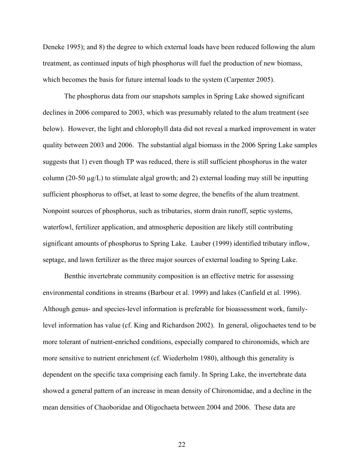Deneke 1995); and 8) the degree to which external loads have been reduced following the alum treatment, as continued inputs of high phosphorus will fuel the production of new biomass, which becomes the basis for future internal loads to the system (Carpenter 2005).

 The phosphorus data from our snapshots samples in Spring Lake showed significant declines in 2006 compared to 2003, which was presumably related to the alum treatment (see below). However, the light and chlorophyll data did not reveal a marked improvement in water quality between 2003 and 2006. The substantial algal biomass in the 2006 Spring Lake samples suggests that 1) even though TP was reduced, there is still sufficient phosphorus in the water column (20-50 µg/L) to stimulate algal growth; and 2) external loading may still be inputting sufficient phosphorus to offset, at least to some degree, the benefits of the alum treatment. Nonpoint sources of phosphorus, such as tributaries, storm drain runoff, septic systems, waterfowl, fertilizer application, and atmospheric deposition are likely still contributing significant amounts of phosphorus to Spring Lake. Lauber (1999) identified tributary inflow, septage, and lawn fertilizer as the three major sources of external loading to Spring Lake.

 Benthic invertebrate community composition is an effective metric for assessing environmental conditions in streams (Barbour et al. 1999) and lakes (Canfield et al. 1996). Although genus- and species-level information is preferable for bioassessment work, familylevel information has value (cf. King and Richardson 2002). In general, oligochaetes tend to be more tolerant of nutrient-enriched conditions, especially compared to chironomids, which are more sensitive to nutrient enrichment (cf. Wiederholm 1980), although this generality is dependent on the specific taxa comprising each family. In Spring Lake, the invertebrate data showed a general pattern of an increase in mean density of Chironomidae, and a decline in the mean densities of Chaoboridae and Oligochaeta between 2004 and 2006. These data are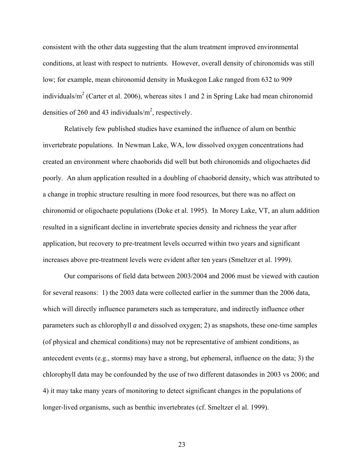consistent with the other data suggesting that the alum treatment improved environmental conditions, at least with respect to nutrients. However, overall density of chironomids was still low; for example, mean chironomid density in Muskegon Lake ranged from 632 to 909 individuals/ $m^2$  (Carter et al. 2006), whereas sites 1 and 2 in Spring Lake had mean chironomid densities of 260 and 43 individuals/ $m^2$ , respectively.

 Relatively few published studies have examined the influence of alum on benthic invertebrate populations. In Newman Lake, WA, low dissolved oxygen concentrations had created an environment where chaoborids did well but both chironomids and oligochaetes did poorly. An alum application resulted in a doubling of chaoborid density, which was attributed to a change in trophic structure resulting in more food resources, but there was no affect on chironomid or oligochaete populations (Doke et al. 1995). In Morey Lake, VT, an alum addition resulted in a significant decline in invertebrate species density and richness the year after application, but recovery to pre-treatment levels occurred within two years and significant increases above pre-treatment levels were evident after ten years (Smeltzer et al. 1999).

 Our comparisons of field data between 2003/2004 and 2006 must be viewed with caution for several reasons: 1) the 2003 data were collected earlier in the summer than the 2006 data, which will directly influence parameters such as temperature, and indirectly influence other parameters such as chlorophyll *a* and dissolved oxygen; 2) as snapshots, these one-time samples (of physical and chemical conditions) may not be representative of ambient conditions, as antecedent events (e.g., storms) may have a strong, but ephemeral, influence on the data; 3) the chlorophyll data may be confounded by the use of two different datasondes in 2003 vs 2006; and 4) it may take many years of monitoring to detect significant changes in the populations of longer-lived organisms, such as benthic invertebrates (cf. Smeltzer el al. 1999).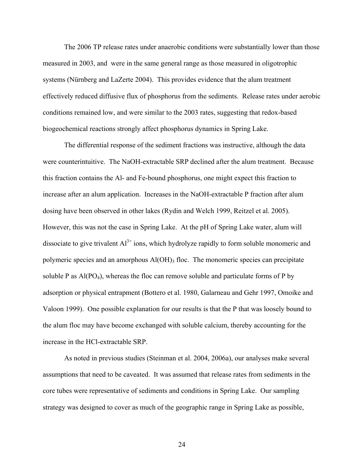The 2006 TP release rates under anaerobic conditions were substantially lower than those measured in 2003, and were in the same general range as those measured in oligotrophic systems (Nürnberg and LaZerte 2004). This provides evidence that the alum treatment effectively reduced diffusive flux of phosphorus from the sediments. Release rates under aerobic conditions remained low, and were similar to the 2003 rates, suggesting that redox-based biogeochemical reactions strongly affect phosphorus dynamics in Spring Lake.

 The differential response of the sediment fractions was instructive, although the data were counterintuitive. The NaOH-extractable SRP declined after the alum treatment. Because this fraction contains the Al- and Fe-bound phosphorus, one might expect this fraction to increase after an alum application. Increases in the NaOH-extractable P fraction after alum dosing have been observed in other lakes (Rydin and Welch 1999, Reitzel et al. 2005). However, this was not the case in Spring Lake. At the pH of Spring Lake water, alum will dissociate to give trivalent  $Al^{3+}$  ions, which hydrolyze rapidly to form soluble monomeric and polymeric species and an amorphous  $AI(OH)$ <sub>3</sub> floc. The monomeric species can precipitate soluble P as  $Al(PO_4)$ , whereas the floc can remove soluble and particulate forms of P by adsorption or physical entrapment (Bottero et al. 1980, Galarneau and Gehr 1997, Omoike and Valoon 1999). One possible explanation for our results is that the P that was loosely bound to the alum floc may have become exchanged with soluble calcium, thereby accounting for the increase in the HCl-extractable SRP.

 As noted in previous studies (Steinman et al. 2004, 2006a), our analyses make several assumptions that need to be caveated. It was assumed that release rates from sediments in the core tubes were representative of sediments and conditions in Spring Lake. Our sampling strategy was designed to cover as much of the geographic range in Spring Lake as possible,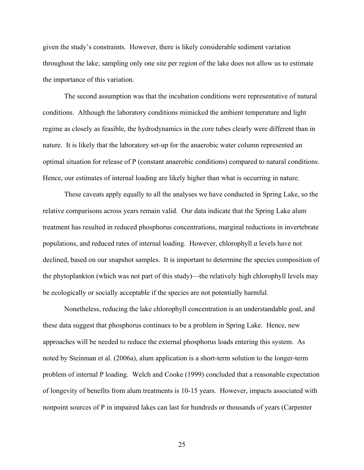given the study's constraints. However, there is likely considerable sediment variation throughout the lake; sampling only one site per region of the lake does not allow us to estimate the importance of this variation.

 The second assumption was that the incubation conditions were representative of natural conditions. Although the laboratory conditions mimicked the ambient temperature and light regime as closely as feasible, the hydrodynamics in the core tubes clearly were different than in nature. It is likely that the laboratory set-up for the anaerobic water column represented an optimal situation for release of P (constant anaerobic conditions) compared to natural conditions. Hence, our estimates of internal loading are likely higher than what is occurring in nature.

 These caveats apply equally to all the analyses we have conducted in Spring Lake, so the relative comparisons across years remain valid. Our data indicate that the Spring Lake alum treatment has resulted in reduced phosphorus concentrations, marginal reductions in invertebrate populations, and reduced rates of internal loading. However, chlorophyll *a* levels have not declined, based on our snapshot samples. It is important to determine the species composition of the phytoplankton (which was not part of this study)—the relatively high chlorophyll levels may be ecologically or socially acceptable if the species are not potentially harmful.

 Nonetheless, reducing the lake chlorophyll concentration is an understandable goal, and these data suggest that phosphorus continues to be a problem in Spring Lake. Hence, new approaches will be needed to reduce the external phosphorus loads entering this system. As noted by Steinman et al. (2006a), alum application is a short-term solution to the longer-term problem of internal P loading. Welch and Cooke (1999) concluded that a reasonable expectation of longevity of benefits from alum treatments is 10-15 years. However, impacts associated with nonpoint sources of P in impaired lakes can last for hundreds or thousands of years (Carpenter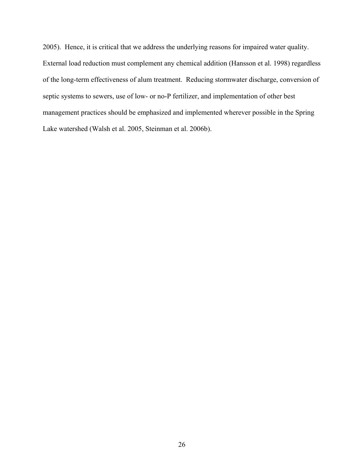2005). Hence, it is critical that we address the underlying reasons for impaired water quality. External load reduction must complement any chemical addition (Hansson et al. 1998) regardless of the long-term effectiveness of alum treatment. Reducing stormwater discharge, conversion of septic systems to sewers, use of low- or no-P fertilizer, and implementation of other best management practices should be emphasized and implemented wherever possible in the Spring Lake watershed (Walsh et al. 2005, Steinman et al. 2006b).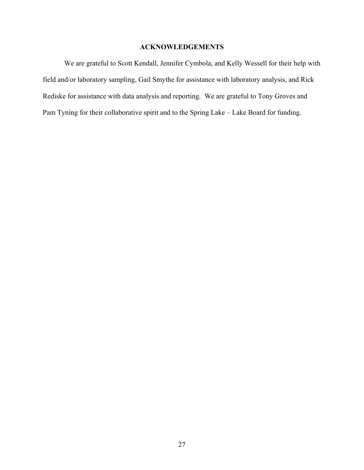### **ACKNOWLEDGEMENTS**

We are grateful to Scott Kendall, Jennifer Cymbola, and Kelly Wessell for their help with field and/or laboratory sampling, Gail Smythe for assistance with laboratory analysis, and Rick Rediske for assistance with data analysis and reporting. We are grateful to Tony Groves and Pam Tyning for their collaborative spirit and to the Spring Lake – Lake Board for funding.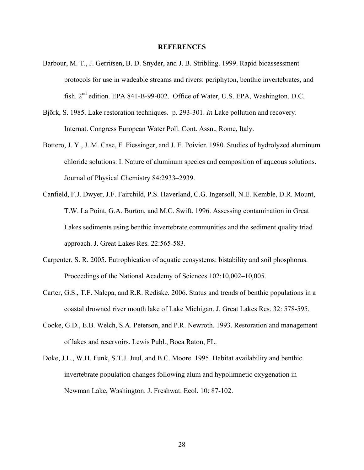#### **REFERENCES**

- Barbour, M. T., J. Gerritsen, B. D. Snyder, and J. B. Stribling. 1999. Rapid bioassessment protocols for use in wadeable streams and rivers: periphyton, benthic invertebrates, and fish. 2<sup>nd</sup> edition. EPA 841-B-99-002. Office of Water, U.S. EPA, Washington, D.C.
- Björk, S. 1985. Lake restoration techniques. p. 293-301. *In* Lake pollution and recovery. Internat. Congress European Water Poll. Cont. Assn., Rome, Italy.
- Bottero, J. Y., J. M. Case, F. Fiessinger, and J. E. Poivier. 1980. Studies of hydrolyzed aluminum chloride solutions: I. Nature of aluminum species and composition of aqueous solutions. Journal of Physical Chemistry 84:2933–2939.
- Canfield, F.J. Dwyer, J.F. Fairchild, P.S. Haverland, C.G. Ingersoll, N.E. Kemble, D.R. Mount, T.W. La Point, G.A. Burton, and M.C. Swift. 1996. Assessing contamination in Great Lakes sediments using benthic invertebrate communities and the sediment quality triad approach. J. Great Lakes Res*.* 22:565-583.
- Carpenter, S. R. 2005. Eutrophication of aquatic ecosystems: bistability and soil phosphorus. Proceedings of the National Academy of Sciences 102:10,002–10,005.
- Carter, G.S., T.F. Nalepa, and R.R. Rediske. 2006. Status and trends of benthic populations in a coastal drowned river mouth lake of Lake Michigan. J. Great Lakes Res. 32: 578-595.
- Cooke, G.D., E.B. Welch, S.A. Peterson, and P.R. Newroth. 1993. Restoration and management of lakes and reservoirs. Lewis Publ., Boca Raton, FL.
- Doke, J.L., W.H. Funk, S.T.J. Juul, and B.C. Moore. 1995. Habitat availability and benthic invertebrate population changes following alum and hypolimnetic oxygenation in Newman Lake, Washington. J. Freshwat. Ecol. 10: 87-102.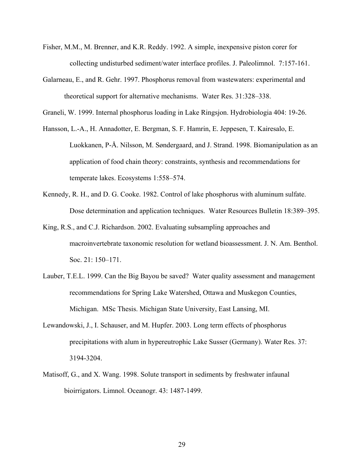- Fisher, M.M., M. Brenner, and K.R. Reddy. 1992. A simple, inexpensive piston corer for collecting undisturbed sediment/water interface profiles. J. Paleolimnol. 7:157-161.
- Galarneau, E., and R. Gehr. 1997. Phosphorus removal from wastewaters: experimental and theoretical support for alternative mechanisms. Water Res. 31:328–338.

Graneli, W. 1999. Internal phosphorus loading in Lake Ringsjon. Hydrobiologia 404: 19-26.

- Hansson, L.-A., H. Annadotter, E. Bergman, S. F. Hamrin, E. Jeppesen, T. Kairesalo, E. Luokkanen, P-Å. Nilsson, M. Søndergaard, and J. Strand. 1998. Biomanipulation as an application of food chain theory: constraints, synthesis and recommendations for temperate lakes. Ecosystems 1:558–574.
- Kennedy, R. H., and D. G. Cooke. 1982. Control of lake phosphorus with aluminum sulfate. Dose determination and application techniques. Water Resources Bulletin 18:389–395.
- King, R.S., and C.J. Richardson. 2002. Evaluating subsampling approaches and macroinvertebrate taxonomic resolution for wetland bioassessment. J. N. Am. Benthol. Soc. 21: 150–171.
- Lauber, T.E.L. 1999. Can the Big Bayou be saved? Water quality assessment and management recommendations for Spring Lake Watershed, Ottawa and Muskegon Counties, Michigan. MSc Thesis. Michigan State University, East Lansing, MI.
- Lewandowski, J., I. Schauser, and M. Hupfer. 2003. Long term effects of phosphorus precipitations with alum in hypereutrophic Lake Susser (Germany). Water Res. 37: 3194-3204.
- Matisoff, G., and X. Wang. 1998. Solute transport in sediments by freshwater infaunal bioirrigators. Limnol. Oceanogr. 43: 1487-1499.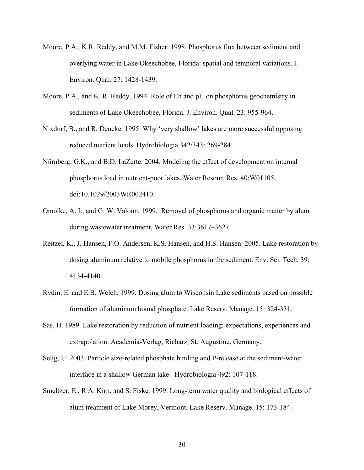- Moore, P.A., K.R. Reddy, and M.M. Fisher. 1998. Phosphorus flux between sediment and overlying water in Lake Okeechobee, Florida: spatial and temporal variations. J. Environ. Qual. 27: 1428-1439.
- Moore, P.A., and K. R. Reddy. 1994. Role of Eh and pH on phosphorus geochemistry in sediments of Lake Okeechobee, Florida. J. Environ. Qual. 23: 955-964.
- Nixdorf, B., and R. Deneke. 1995. Why 'very shallow' lakes are more successful opposing reduced nutrient loads. Hydrobiologia 342/343: 269-284.
- Nürnberg, G.K., and B.D. LaZerte. 2004. Modeling the effect of development on internal phosphorus load in nutrient-poor lakes. Water Resour. Res. 40:W01105, doi:10.1029/2003WR002410.
- Omoike, A. I., and G. W. Valoon. 1999. Removal of phosphorus and organic matter by alum during wastewater treatment. Water Res. 33:3617–3627.
- Reitzel, K., J. Hansen, F.O. Andersen, K.S. Hansen, and H.S. Hansen. 2005. Lake restoration by dosing aluminum relative to mobile phosphorus in the sediment. Env. Sci. Tech. 39: 4134-4140.
- Rydin, E. and E.B. Welch. 1999. Dosing alum to Wisconsin Lake sediments based on possible formation of aluminum bound phosphate. Lake Reserv. Manage. 15: 324-331.
- Sas, H. 1989. Lake restoration by reduction of nutrient loading: expectations, experiences and extrapolation. Academia-Verlag, Richarz, St. Augustine, Germany.
- Selig, U. 2003. Particle size-related phosphate binding and P-release at the sediment-water interface in a shallow German lake. Hydrobiologia 492: 107-118.
- Smeltzer, E., R.A. Kirn, and S. Fiske. 1999. Long-term water quality and biological effects of alum treatment of Lake Morey, Vermont. Lake Reserv. Manage. 15: 173-184.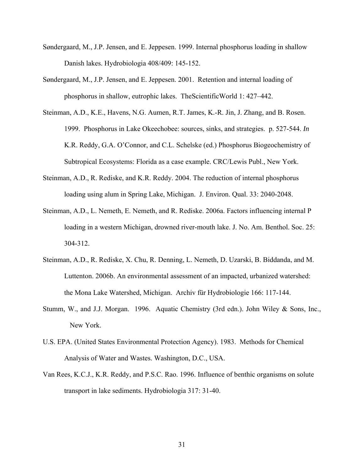- Søndergaard, M., J.P. Jensen, and E. Jeppesen. 1999. Internal phosphorus loading in shallow Danish lakes. Hydrobiologia 408/409: 145-152.
- Søndergaard, M., J.P. Jensen, and E. Jeppesen. 2001. Retention and internal loading of phosphorus in shallow, eutrophic lakes. TheScientificWorld 1: 427–442.
- Steinman, A.D., K.E., Havens, N.G. Aumen, R.T. James, K.-R. Jin, J. Zhang, and B. Rosen. 1999. Phosphorus in Lake Okeechobee: sources, sinks, and strategies. p. 527-544. *In* K.R. Reddy, G.A. O'Connor, and C.L. Schelske (ed.) Phosphorus Biogeochemistry of Subtropical Ecosystems: Florida as a case example. CRC/Lewis Publ., New York.
- Steinman, A.D., R. Rediske, and K.R. Reddy. 2004. The reduction of internal phosphorus loading using alum in Spring Lake, Michigan. J. Environ. Qual. 33: 2040-2048.
- Steinman, A.D., L. Nemeth, E. Nemeth, and R. Rediske. 2006a. Factors influencing internal P loading in a western Michigan, drowned river-mouth lake. J. No. Am. Benthol. Soc. 25: 304-312.
- Steinman, A.D., R. Rediske, X. Chu, R. Denning, L. Nemeth, D. Uzarski, B. Biddanda, and M. Luttenton. 2006b. An environmental assessment of an impacted, urbanized watershed: the Mona Lake Watershed, Michigan. Archiv für Hydrobiologie 166: 117-144.
- Stumm, W., and J.J. Morgan. 1996. Aquatic Chemistry (3rd edn.). John Wiley & Sons, Inc., New York.
- U.S. EPA. (United States Environmental Protection Agency). 1983. Methods for Chemical Analysis of Water and Wastes. Washington, D.C., USA.
- Van Rees, K.C.J., K.R. Reddy, and P.S.C. Rao. 1996. Influence of benthic organisms on solute transport in lake sediments. Hydrobiologia 317: 31-40.